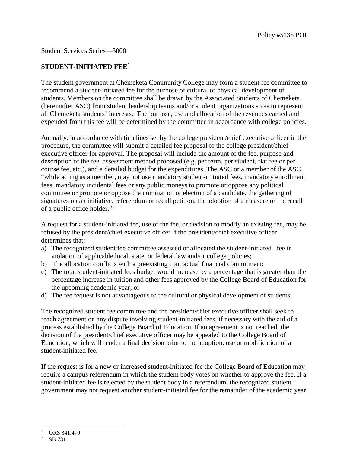## Student Services Series—5000

## **STUDENT-INITIATED FEE[1](#page-0-0)**

The student government at Chemeketa Community College may form a student fee committee to recommend a student-initiated fee for the purpose of cultural or physical development of students. Members on the committee shall be drawn by the Associated Students of Chemeketa (hereinafter ASC) from student leadership teams and/or student organizations so as to represent all Chemeketa students' interests. The purpose, use and allocation of the revenues earned and expended from this fee will be determined by the committee in accordance with college policies.

Annually, in accordance with timelines set by the college president/chief executive officer in the procedure, the committee will submit a detailed fee proposal to the college president/chief executive officer for approval. The proposal will include the amount of the fee, purpose and description of the fee, assessment method proposed (e.g. per term, per student, flat fee or per course fee, etc.), and a detailed budget for the expenditures. The ASC or a member of the ASC "while acting as a member, may not use mandatory student-initiated fees, mandatory enrollment fees, mandatory incidental fees or any public moneys to promote or oppose any political committee or promote or oppose the nomination or election of a candidate, the gathering of signatures on an initiative, referendum or recall petition, the adoption of a measure or the recall of a public office holder."[2](#page-0-1)

A request for a student-initiated fee, use of the fee, or decision to modify an existing fee, may be refused by the president/chief executive officer if the president/chief executive officer determines that:

- a) The recognized student fee committee assessed or allocated the student-initiated fee in violation of applicable local, state, or federal law and/or college policies;
- b) The allocation conflicts with a preexisting contractual financial commitment;
- c) The total student-initiated fees budget would increase by a percentage that is greater than the percentage increase in tuition and other fees approved by the College Board of Education for the upcoming academic year; or
- d) The fee request is not advantageous to the cultural or physical development of students.

The recognized student fee committee and the president/chief executive officer shall seek to reach agreement on any dispute involving student-initiated fees, if necessary with the aid of a process established by the College Board of Education. If an agreement is not reached, the decision of the president/chief executive officer may be appealed to the College Board of Education, which will render a final decision prior to the adoption, use or modification of a student-initiated fee.

If the request is for a new or increased student-initiated fee the College Board of Education may require a campus referendum in which the student body votes on whether to approve the fee. If a student-initiated fee is rejected by the student body in a referendum, the recognized student government may not request another student-initiated fee for the remainder of the academic year.

<span id="page-0-0"></span>ī ORS 341.470

<span id="page-0-1"></span>SB 731